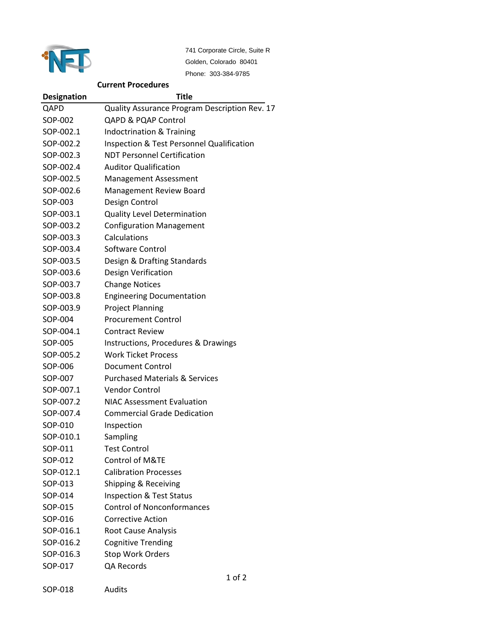

741 Corporate Circle, Suite R Golden, Colorado 80401 Phone: 303-384-9785

## **Current Procedures**

| <b>Designation</b> | Title                                                |
|--------------------|------------------------------------------------------|
| QAPD               | Quality Assurance Program Description Rev. 17        |
| SOP-002            | <b>QAPD &amp; PQAP Control</b>                       |
| SOP-002.1          | Indoctrination & Training                            |
| SOP-002.2          | <b>Inspection &amp; Test Personnel Qualification</b> |
| SOP-002.3          | <b>NDT Personnel Certification</b>                   |
| SOP-002.4          | <b>Auditor Qualification</b>                         |
| SOP-002.5          | <b>Management Assessment</b>                         |
| SOP-002.6          | Management Review Board                              |
| SOP-003            | Design Control                                       |
| SOP-003.1          | <b>Quality Level Determination</b>                   |
| SOP-003.2          | <b>Configuration Management</b>                      |
| SOP-003.3          | Calculations                                         |
| SOP-003.4          | Software Control                                     |
| SOP-003.5          | Design & Drafting Standards                          |
| SOP-003.6          | Design Verification                                  |
| SOP-003.7          | <b>Change Notices</b>                                |
| SOP-003.8          | <b>Engineering Documentation</b>                     |
| SOP-003.9          | <b>Project Planning</b>                              |
| SOP-004            | <b>Procurement Control</b>                           |
| SOP-004.1          | <b>Contract Review</b>                               |
| SOP-005            | Instructions, Procedures & Drawings                  |
| SOP-005.2          | <b>Work Ticket Process</b>                           |
| SOP-006            | <b>Document Control</b>                              |
| SOP-007            | <b>Purchased Materials &amp; Services</b>            |
| SOP-007.1          | <b>Vendor Control</b>                                |
| SOP-007.2          | <b>NIAC Assessment Evaluation</b>                    |
| SOP-007.4          | <b>Commercial Grade Dedication</b>                   |
| SOP-010            | Inspection                                           |
| SOP-010.1          | Sampling                                             |
| SOP-011            | <b>Test Control</b>                                  |
| SOP-012            | Control of M&TE                                      |
| SOP-012.1          | <b>Calibration Processes</b>                         |
| SOP-013            | Shipping & Receiving                                 |
| SOP-014            | <b>Inspection &amp; Test Status</b>                  |
| SOP-015            | <b>Control of Nonconformances</b>                    |
| SOP-016            | <b>Corrective Action</b>                             |
| SOP-016.1          | <b>Root Cause Analysis</b>                           |
| SOP-016.2          | <b>Cognitive Trending</b>                            |
| SOP-016.3          | Stop Work Orders                                     |
| SOP-017            | QA Records                                           |
|                    | 1 of 2                                               |

SOP-018 Audits